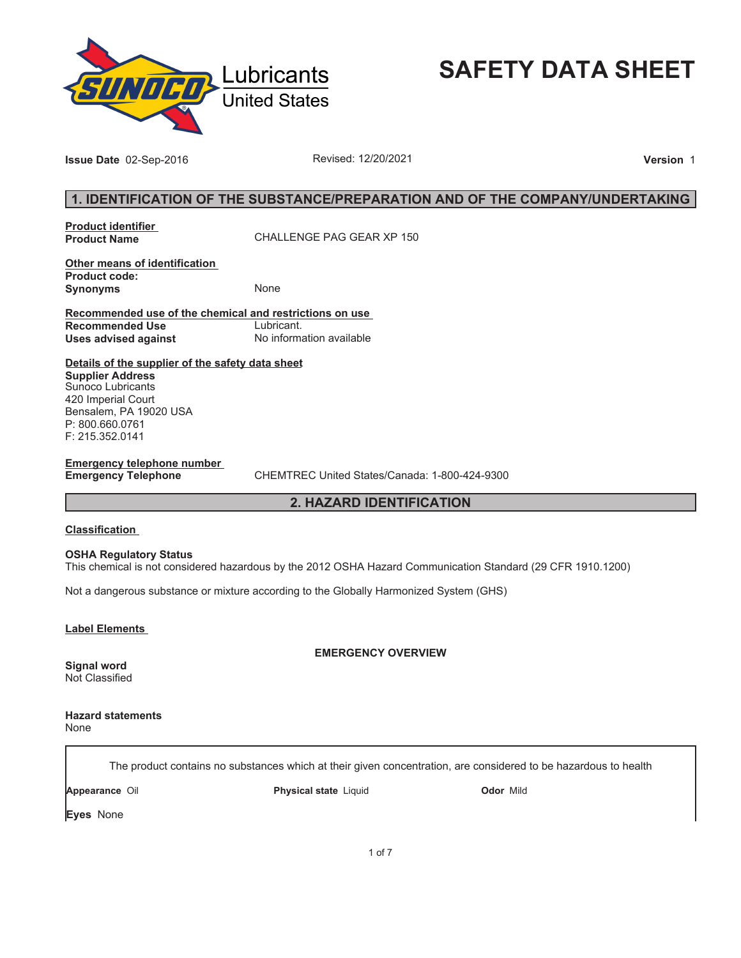

**SAFETY DATA SHEET**

**Issue Date** 02-Sep-2016 **Revised: 12/20/2021 Revised: 12/20/2021 Version** 1

## **1. IDENTIFICATION OF THE SUBSTANCE/PREPARATION AND OF THE COMPANY/UNDERTAKING**

**Product identifier** 

**Product Name** CHALLENGE PAG GEAR XP 150

**Other means of identification Product code: Synonyms** None

**Recommended use of the chemical and restrictions on use Recommended Use<br>Uses advised against Uses advised against** No information available

**Details of the supplier of the safety data sheet Supplier Address**

Sunoco Lubricants 420 Imperial Court Bensalem, PA 19020 USA P: 800.660.0761 F: 215.352.0141

**Emergency telephone number** 

**Emergency Telephone** CHEMTREC United States/Canada: 1-800-424-9300

### **2. HAZARD IDENTIFICATION**

#### **Classification**

**OSHA Regulatory Status** This chemical is not considered hazardous by the 2012 OSHA Hazard Communication Standard (29 CFR 1910.1200)

Not a dangerous substance or mixture according to the Globally Harmonized System (GHS)

**Label Elements** 

### **EMERGENCY OVERVIEW**

**Signal word** Not Classified

**Hazard statements** None

The product contains no substances which at their given concentration, are considered to be hazardous to health

**Appearance** Oil **Physical state** Liquid **Odor** Mild

**Eyes** None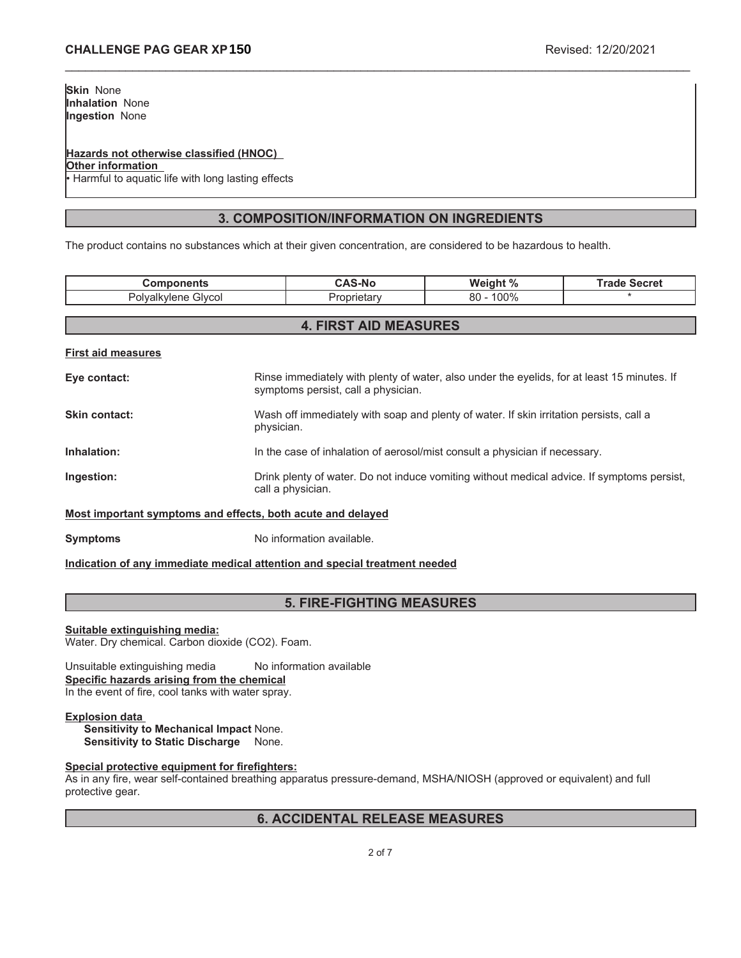## **Hazards not otherwise classified (HNOC)**

**Other information**

Harmful to aquatic life with long lasting effects

## **3. COMPOSITION/INFORMATION ON INGREDIENTS**

\_\_\_\_\_\_\_\_\_\_\_\_\_\_\_\_\_\_\_\_\_\_\_\_\_\_\_\_\_\_\_\_\_\_\_\_\_\_\_\_\_\_\_\_\_\_\_\_\_\_\_\_\_\_\_\_\_\_\_\_\_\_\_\_\_\_\_\_\_\_\_\_\_\_\_\_\_\_\_\_\_\_\_\_\_\_\_\_\_\_\_\_\_

The product contains no substances which at their given concentration, are considered to be hazardous to health.

| <b>Components</b>                                           |                                                                                                                 | <b>CAS-No</b>                       | Weight %                                                                                    | <b>Trade Secret</b> |
|-------------------------------------------------------------|-----------------------------------------------------------------------------------------------------------------|-------------------------------------|---------------------------------------------------------------------------------------------|---------------------|
| Polyalkylene Glycol                                         |                                                                                                                 | Proprietary                         | $80 - 100\%$                                                                                |                     |
|                                                             |                                                                                                                 |                                     |                                                                                             |                     |
| <b>4. FIRST AID MEASURES</b>                                |                                                                                                                 |                                     |                                                                                             |                     |
| <b>First aid measures</b>                                   |                                                                                                                 |                                     |                                                                                             |                     |
| Eye contact:                                                |                                                                                                                 | symptoms persist, call a physician. | Rinse immediately with plenty of water, also under the eyelids, for at least 15 minutes. If |                     |
| Skin contact:                                               | physician.                                                                                                      |                                     | Wash off immediately with soap and plenty of water. If skin irritation persists, call a     |                     |
| Inhalation:                                                 |                                                                                                                 |                                     | In the case of inhalation of aerosol/mist consult a physician if necessary.                 |                     |
| Ingestion:                                                  | Drink plenty of water. Do not induce vomiting without medical advice. If symptoms persist,<br>call a physician. |                                     |                                                                                             |                     |
| Most important symptoms and effects, both acute and delayed |                                                                                                                 |                                     |                                                                                             |                     |

**Symptoms** No information available.

**Indication of any immediate medical attention and special treatment needed**

## **5. FIRE-FIGHTING MEASURES**

**Suitable extinguishing media:**

Water. Dry chemical. Carbon dioxide (CO2). Foam.

Unsuitable extinguishing media No information available **Specific hazards arising from the chemical** In the event of fire, cool tanks with water spray.

### **Explosion data**

**Sensitivity to Mechanical Impact** None. **Sensitivity to Static Discharge** None.

### **Special protective equipment for firefighters:**

As in any fire, wear self-contained breathing apparatus pressure-demand, MSHA/NIOSH (approved or equivalent) and full protective gear.

## **6. ACCIDENTAL RELEASE MEASURES**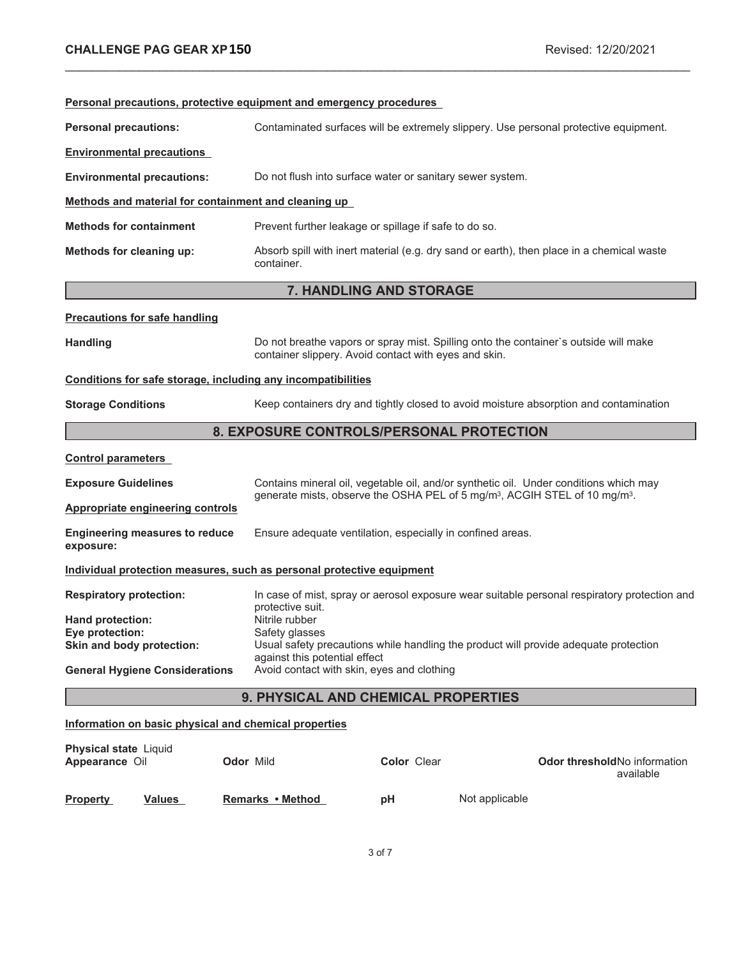| Personal precautions, protective equipment and emergency procedures   |                                                                                                    |                                                                                                                                               |                                                                                              |  |
|-----------------------------------------------------------------------|----------------------------------------------------------------------------------------------------|-----------------------------------------------------------------------------------------------------------------------------------------------|----------------------------------------------------------------------------------------------|--|
| <b>Personal precautions:</b>                                          |                                                                                                    | Contaminated surfaces will be extremely slippery. Use personal protective equipment.                                                          |                                                                                              |  |
| <b>Environmental precautions</b>                                      |                                                                                                    |                                                                                                                                               |                                                                                              |  |
| <b>Environmental precautions:</b>                                     |                                                                                                    | Do not flush into surface water or sanitary sewer system.                                                                                     |                                                                                              |  |
|                                                                       | Methods and material for containment and cleaning up                                               |                                                                                                                                               |                                                                                              |  |
| <b>Methods for containment</b>                                        |                                                                                                    | Prevent further leakage or spillage if safe to do so.                                                                                         |                                                                                              |  |
| Methods for cleaning up:                                              | container.                                                                                         | Absorb spill with inert material (e.g. dry sand or earth), then place in a chemical waste                                                     |                                                                                              |  |
|                                                                       |                                                                                                    | 7. HANDLING AND STORAGE                                                                                                                       |                                                                                              |  |
| <b>Precautions for safe handling</b>                                  |                                                                                                    |                                                                                                                                               |                                                                                              |  |
| <b>Handling</b>                                                       |                                                                                                    | Do not breathe vapors or spray mist. Spilling onto the container's outside will make<br>container slippery. Avoid contact with eyes and skin. |                                                                                              |  |
| Conditions for safe storage, including any incompatibilities          |                                                                                                    |                                                                                                                                               |                                                                                              |  |
| <b>Storage Conditions</b>                                             |                                                                                                    | Keep containers dry and tightly closed to avoid moisture absorption and contamination                                                         |                                                                                              |  |
|                                                                       |                                                                                                    | 8. EXPOSURE CONTROLS/PERSONAL PROTECTION                                                                                                      |                                                                                              |  |
| <b>Control parameters</b>                                             |                                                                                                    |                                                                                                                                               |                                                                                              |  |
| <b>Exposure Guidelines</b>                                            |                                                                                                    | Contains mineral oil, vegetable oil, and/or synthetic oil. Under conditions which may                                                         |                                                                                              |  |
| <b>Appropriate engineering controls</b>                               | generate mists, observe the OSHA PEL of 5 mg/m <sup>3</sup> , ACGIH STEL of 10 mg/m <sup>3</sup> . |                                                                                                                                               |                                                                                              |  |
| <b>Engineering measures to reduce</b><br>exposure:                    |                                                                                                    | Ensure adequate ventilation, especially in confined areas.                                                                                    |                                                                                              |  |
| Individual protection measures, such as personal protective equipment |                                                                                                    |                                                                                                                                               |                                                                                              |  |
| <b>Respiratory protection:</b>                                        | protective suit.                                                                                   |                                                                                                                                               | In case of mist, spray or aerosol exposure wear suitable personal respiratory protection and |  |
| Hand protection:                                                      | Nitrile rubber                                                                                     |                                                                                                                                               |                                                                                              |  |
| Eye protection:<br>Skin and body protection:                          | Safety glasses                                                                                     | Usual safety precautions while handling the product will provide adequate protection                                                          |                                                                                              |  |
| <b>General Hygiene Considerations</b>                                 | against this potential effect<br>Avoid contact with skin, eyes and clothing                        |                                                                                                                                               |                                                                                              |  |
| 9. PHYSICAL AND CHEMICAL PROPERTIES                                   |                                                                                                    |                                                                                                                                               |                                                                                              |  |
| Information on basic physical and chemical properties                 |                                                                                                    |                                                                                                                                               |                                                                                              |  |
| <b>Physical state Liquid</b><br>Appearance Oil                        | <b>Odor Mild</b>                                                                                   | <b>Color Clear</b>                                                                                                                            | Odor thresholdNo information<br>available                                                    |  |

\_\_\_\_\_\_\_\_\_\_\_\_\_\_\_\_\_\_\_\_\_\_\_\_\_\_\_\_\_\_\_\_\_\_\_\_\_\_\_\_\_\_\_\_\_\_\_\_\_\_\_\_\_\_\_\_\_\_\_\_\_\_\_\_\_\_\_\_\_\_\_\_\_\_\_\_\_\_\_\_\_\_\_\_\_\_\_\_\_\_\_\_\_

**Not applicable**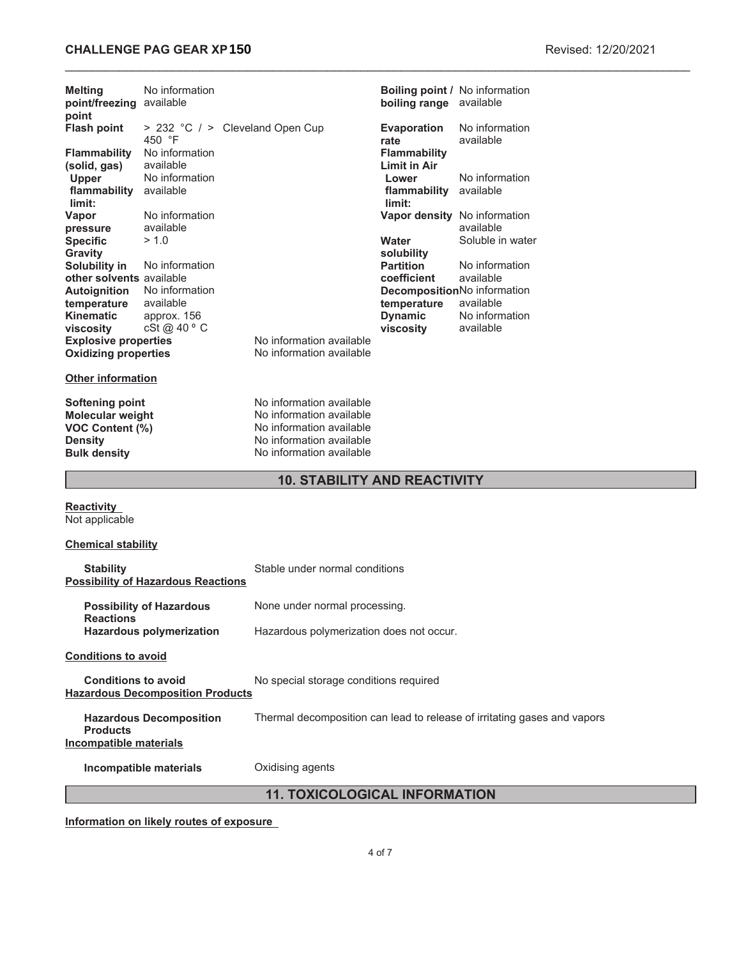## **CHALLENGE PAG GEAR XP 150 Revised: 12/20/2021**

| Melting<br>point/freezing available<br>point                                                                  | No information                            |                                                                                                                                          | boiling range available          | Boiling point / No information            |
|---------------------------------------------------------------------------------------------------------------|-------------------------------------------|------------------------------------------------------------------------------------------------------------------------------------------|----------------------------------|-------------------------------------------|
| <b>Flash point</b>                                                                                            | > 232 °C / > Cleveland Open Cup<br>450 °F |                                                                                                                                          | <b>Evaporation</b><br>rate       | No information<br>available               |
| Flammability                                                                                                  | No information                            |                                                                                                                                          | <b>Flammability</b>              |                                           |
| (solid, gas)<br>Upper                                                                                         | available<br>No information               |                                                                                                                                          | <b>Limit in Air</b><br>Lower     | No information                            |
| flammability<br>limit:                                                                                        | available                                 |                                                                                                                                          | flammability available<br>limit: |                                           |
| Vapor<br>pressure                                                                                             | No information<br>available               |                                                                                                                                          |                                  | Vapor density No information<br>available |
| <b>Specific</b>                                                                                               | > 1.0                                     |                                                                                                                                          | Water                            | Soluble in water                          |
| Gravity                                                                                                       |                                           |                                                                                                                                          | solubility                       |                                           |
| Solubility in<br>other solvents available                                                                     | No information                            |                                                                                                                                          | <b>Partition</b><br>coefficient  | No information<br>available               |
| <b>Autoignition</b>                                                                                           | No information                            |                                                                                                                                          |                                  | DecompositionNo information               |
| temperature<br><b>Kinematic</b>                                                                               | available<br>approx. 156                  |                                                                                                                                          | temperature<br><b>Dynamic</b>    | available<br>No information               |
| viscosity                                                                                                     | cSt @ 40 ° C                              |                                                                                                                                          | viscosity                        | available                                 |
| <b>Explosive properties</b><br><b>Oxidizing properties</b>                                                    |                                           | No information available<br>No information available                                                                                     |                                  |                                           |
| <b>Other information</b>                                                                                      |                                           |                                                                                                                                          |                                  |                                           |
| <b>Softening point</b><br><b>Molecular weight</b><br>VOC Content (%)<br><b>Density</b><br><b>Bulk density</b> |                                           | No information available<br>No information available<br>No information available<br>No information available<br>No information available |                                  |                                           |
| <b>10. STABILITY AND REACTIVITY</b>                                                                           |                                           |                                                                                                                                          |                                  |                                           |
| Reactivity<br>Not applicable                                                                                  |                                           |                                                                                                                                          |                                  |                                           |
| <b>Chemical stability</b>                                                                                     |                                           |                                                                                                                                          |                                  |                                           |
| <b>Stability</b>                                                                                              | <b>Possibility of Hazardous Reactions</b> | Stable under normal conditions                                                                                                           |                                  |                                           |
| <b>Reactions</b>                                                                                              | <b>Possibility of Hazardous</b>           | None under normal processing.                                                                                                            |                                  |                                           |
|                                                                                                               | <b>Hazardous polymerization</b>           | Hazardous polymerization does not occur.                                                                                                 |                                  |                                           |
| <b>Conditions to avoid</b>                                                                                    |                                           |                                                                                                                                          |                                  |                                           |

**Conditions to avoid** No special storage conditions required **Hazardous Decomposition Products**

**Hazardous Decomposition Products** Thermal decomposition can lead to release of irritating gases and vapors **Incompatible materials**

**Incompatible materials** Oxidising agents

**11. TOXICOLOGICAL INFORMATION**

**Information on likely routes of exposure**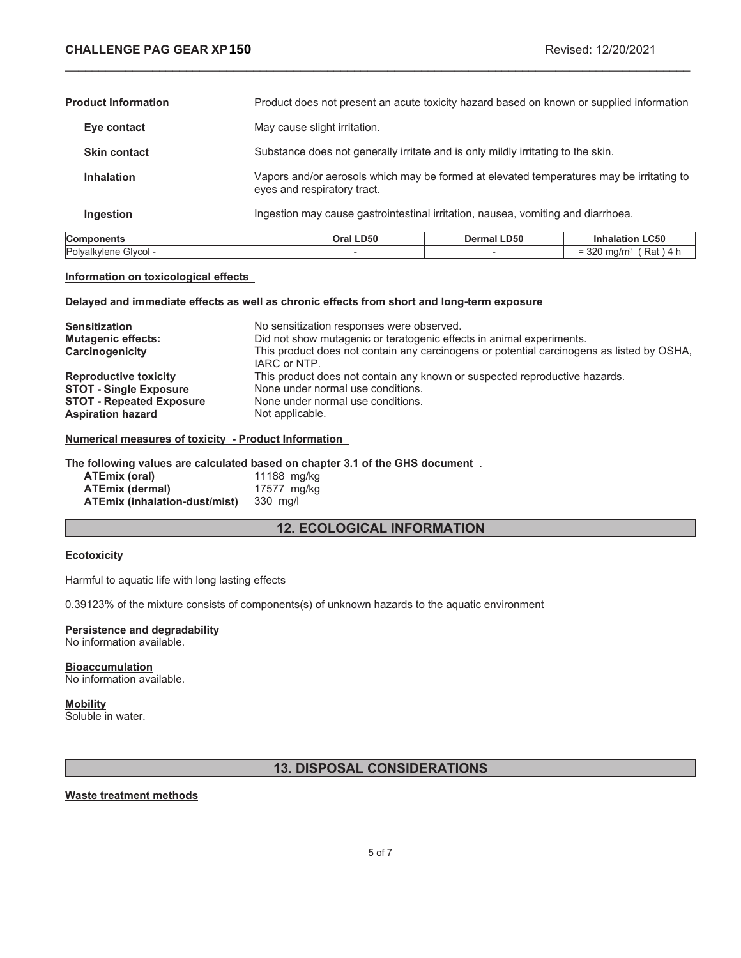$= 320$  mg/m<sup>3</sup> (Rat ) 4 h

| <b>Components</b>          | Oral LD50                                                                                                               | <b>Dermal LD50</b>                                                                       | <b>Inhalation LC50</b> |
|----------------------------|-------------------------------------------------------------------------------------------------------------------------|------------------------------------------------------------------------------------------|------------------------|
| Ingestion                  | Ingestion may cause gastrointestinal irritation, nausea, vomiting and diarrhoea.                                        |                                                                                          |                        |
| <b>Inhalation</b>          | Vapors and/or aerosols which may be formed at elevated temperatures may be irritating to<br>eyes and respiratory tract. |                                                                                          |                        |
| <b>Skin contact</b>        |                                                                                                                         | Substance does not generally irritate and is only mildly irritating to the skin.         |                        |
| Eye contact                | May cause slight irritation.                                                                                            |                                                                                          |                        |
| <b>Product Information</b> |                                                                                                                         | Product does not present an acute toxicity hazard based on known or supplied information |                        |

\_\_\_\_\_\_\_\_\_\_\_\_\_\_\_\_\_\_\_\_\_\_\_\_\_\_\_\_\_\_\_\_\_\_\_\_\_\_\_\_\_\_\_\_\_\_\_\_\_\_\_\_\_\_\_\_\_\_\_\_\_\_\_\_\_\_\_\_\_\_\_\_\_\_\_\_\_\_\_\_\_\_\_\_\_\_\_\_\_\_\_\_\_

#### **Information on toxicological effects**

### **Delayed and immediate effects as well as chronic effects from short and long-term exposure**

Polyalkylene Glycol -  $\overline{\phantom{a}}$  -  $\overline{\phantom{a}}$  -

| <b>Sensitization</b><br><b>Mutagenic effects:</b><br>Carcinogenicity | No sensitization responses were observed.<br>Did not show mutagenic or teratogenic effects in animal experiments.<br>This product does not contain any carcinogens or potential carcinogens as listed by OSHA,<br>IARC or NTP. |
|----------------------------------------------------------------------|--------------------------------------------------------------------------------------------------------------------------------------------------------------------------------------------------------------------------------|
| <b>Reproductive toxicity</b>                                         | This product does not contain any known or suspected reproductive hazards.                                                                                                                                                     |
| <b>STOT - Single Exposure</b>                                        | None under normal use conditions.                                                                                                                                                                                              |
| <b>STOT - Repeated Exposure</b>                                      | None under normal use conditions.                                                                                                                                                                                              |
| <b>Aspiration hazard</b>                                             | Not applicable.                                                                                                                                                                                                                |

### **Numerical measures of toxicity - Product Information**

#### **The following values are calculated based on chapter 3.1 of the GHS document** .

| ATEmix (oral)                 | 11188 mg/kg |
|-------------------------------|-------------|
| <b>ATEmix (dermal)</b>        | 17577 mg/kg |
| ATEmix (inhalation-dust/mist) | 330 mg/l    |

## **12. ECOLOGICAL INFORMATION**

### **Ecotoxicity**

Harmful to aquatic life with long lasting effects

0.39123% of the mixture consists of components(s) of unknown hazards to the aquatic environment

# **Persistence and degradability**

No information available.

#### **Bioaccumulation** No information available.

**Mobility** Soluble in water.

## **13. DISPOSAL CONSIDERATIONS**

### **Waste treatment methods**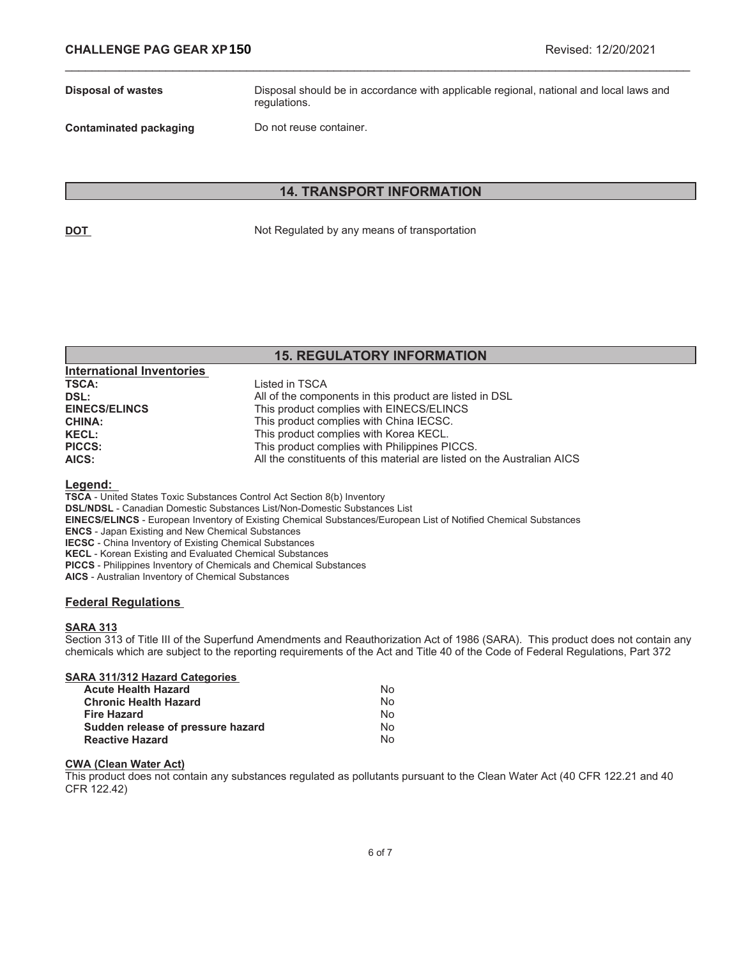**Disposal of wastes** Disposal should be in accordance with applicable regional, national and local laws and regulations.

**Contaminated packaging Do not reuse container.** 

**International Inventories** 

## **14. TRANSPORT INFORMATION**

\_\_\_\_\_\_\_\_\_\_\_\_\_\_\_\_\_\_\_\_\_\_\_\_\_\_\_\_\_\_\_\_\_\_\_\_\_\_\_\_\_\_\_\_\_\_\_\_\_\_\_\_\_\_\_\_\_\_\_\_\_\_\_\_\_\_\_\_\_\_\_\_\_\_\_\_\_\_\_\_\_\_\_\_\_\_\_\_\_\_\_\_\_

**DOT** Not Regulated by any means of transportation

## **15. REGULATORY INFORMATION**

| 1110111011011111001100 |                                                                         |
|------------------------|-------------------------------------------------------------------------|
| <b>TSCA:</b>           | Listed in TSCA                                                          |
| DSL:                   | All of the components in this product are listed in DSL                 |
| <b>EINECS/ELINCS</b>   | This product complies with EINECS/ELINCS                                |
| <b>CHINA:</b>          | This product complies with China IECSC.                                 |
| <b>KECL:</b>           | This product complies with Korea KECL.                                  |
| <b>PICCS:</b>          | This product complies with Philippines PICCS.                           |
| AICS:                  | All the constituents of this material are listed on the Australian AICS |
|                        |                                                                         |

#### **Legend:**

**TSCA** - United States Toxic Substances Control Act Section 8(b) Inventory

**DSL/NDSL** - Canadian Domestic Substances List/Non-Domestic Substances List

**EINECS/ELINCS** - European Inventory of Existing Chemical Substances/European List of Notified Chemical Substances

**ENCS** - Japan Existing and New Chemical Substances

**IECSC** - China Inventory of Existing Chemical Substances

**KECL** - Korean Existing and Evaluated Chemical Substances

**PICCS** - Philippines Inventory of Chemicals and Chemical Substances

**AICS** - Australian Inventory of Chemical Substances

### **Federal Regulations**

### **SARA 313**

Section 313 of Title III of the Superfund Amendments and Reauthorization Act of 1986 (SARA). This product does not contain any chemicals which are subject to the reporting requirements of the Act and Title 40 of the Code of Federal Regulations, Part 372

| N٥ |
|----|
| N٥ |
| N٥ |
| N٥ |
| N٥ |
|    |

### **CWA (Clean Water Act)**

This product does not contain any substances regulated as pollutants pursuant to the Clean Water Act (40 CFR 122.21 and 40 CFR 122.42)